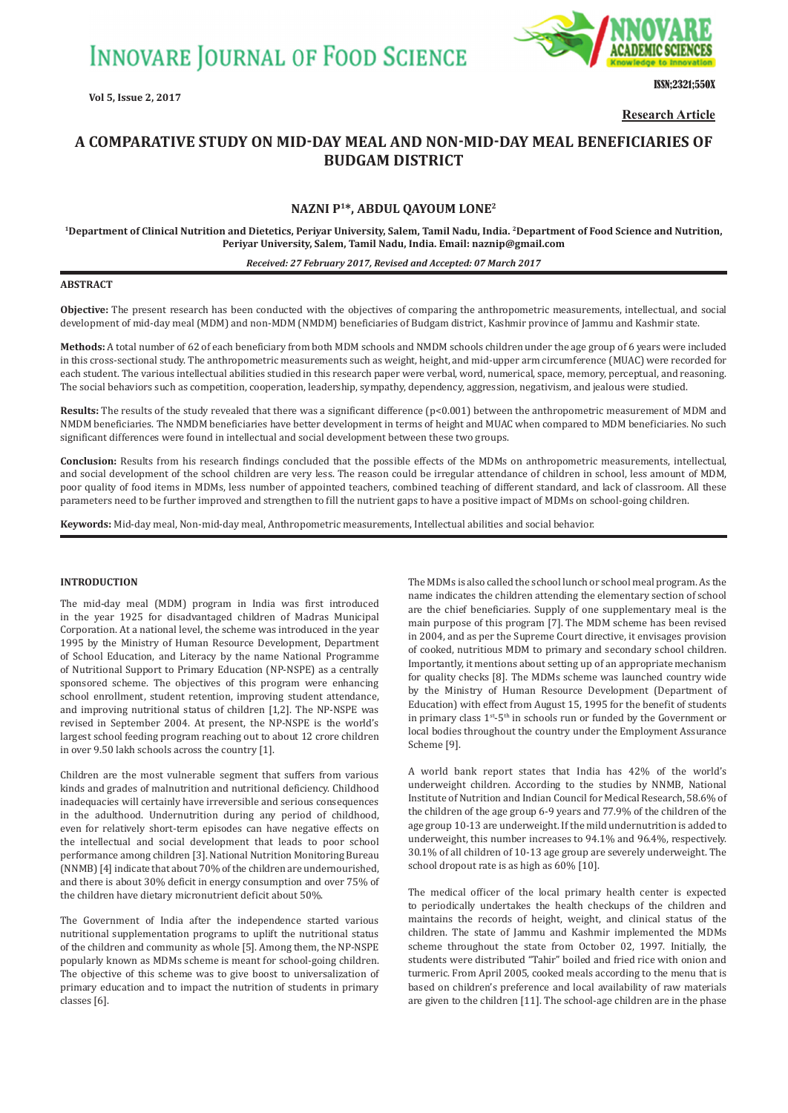**INNOVARE JOURNAL OF FOOD SCIENCE** 

**Vol 5, Issue 2, 2017**



ISSN;2321;550X

**Research Article**

# **A COMPARATIVE STUDY ON MID-DAY MEAL AND NON-MID-DAY MEAL BENEFICIARIES OF BUDGAM DISTRICT**

## **NAZNI P1\*, ABDUL QAYOUM LONE<sup>2</sup>**

**1Department of Clinical Nutrition and Dietetics, Periyar University, Salem, Tamil Nadu, India. 2Department of Food Science and Nutrition, Periyar University, Salem, Tamil Nadu, India. Email: naznip@gmail.com**

#### *Received: 27 February 2017, Revised and Accepted: 07 March 2017*

#### **ABSTRACT**

**Objective:** The present research has been conducted with the objectives of comparing the anthropometric measurements, intellectual, and social development of mid-day meal (MDM) and non-MDM (NMDM) beneficiaries of Budgam district, Kashmir province of Jammu and Kashmir state.

**Methods:** A total number of 62 of each beneficiary from both MDM schools and NMDM schools children under the age group of 6 years were included in this cross-sectional study. The anthropometric measurements such as weight, height, and mid-upper arm circumference (MUAC) were recorded for each student. The various intellectual abilities studied in this research paper were verbal, word, numerical, space, memory, perceptual, and reasoning. The social behaviors such as competition, cooperation, leadership, sympathy, dependency, aggression, negativism, and jealous were studied.

Results: The results of the study revealed that there was a significant difference (p<0.001) between the anthropometric measurement of MDM and NMDM beneficiaries. The NMDM beneficiaries have better development in terms of height and MUAC when compared to MDM beneficiaries. No such significant differences were found in intellectual and social development between these two groups.

**Conclusion:** Results from his research findings concluded that the possible effects of the MDMs on anthropometric measurements, intellectual, and social development of the school children are very less. The reason could be irregular attendance of children in school, less amount of MDM, poor quality of food items in MDMs, less number of appointed teachers, combined teaching of different standard, and lack of classroom. All these parameters need to be further improved and strengthen to fill the nutrient gaps to have a positive impact of MDMs on school-going children.

**Keywords:** Mid-day meal, Non-mid-day meal, Anthropometric measurements, Intellectual abilities and social behavior.

#### **INTRODUCTION**

The mid-day meal (MDM) program in India was first introduced in the year 1925 for disadvantaged children of Madras Municipal Corporation. At a national level, the scheme was introduced in the year 1995 by the Ministry of Human Resource Development, Department of School Education, and Literacy by the name National Programme of Nutritional Support to Primary Education (NP-NSPE) as a centrally sponsored scheme. The objectives of this program were enhancing school enrollment, student retention, improving student attendance, and improving nutritional status of children [1,2]. The NP-NSPE was revised in September 2004. At present, the NP-NSPE is the world's largest school feeding program reaching out to about 12 crore children in over 9.50 lakh schools across the country [1].

Children are the most vulnerable segment that suffers from various kinds and grades of malnutrition and nutritional deficiency. Childhood inadequacies will certainly have irreversible and serious consequences in the adulthood. Undernutrition during any period of childhood, even for relatively short-term episodes can have negative effects on the intellectual and social development that leads to poor school performance among children [3]. National Nutrition Monitoring Bureau (NNMB) [4] indicate that about 70% of the children are undernourished, and there is about 30% deficit in energy consumption and over 75% of the children have dietary micronutrient deficit about 50%.

The Government of India after the independence started various nutritional supplementation programs to uplift the nutritional status of the children and community as whole [5]. Among them, the NP-NSPE popularly known as MDMs scheme is meant for school-going children. The objective of this scheme was to give boost to universalization of primary education and to impact the nutrition of students in primary classes [6].

The MDMs is also called the school lunch or school meal program. As the name indicates the children attending the elementary section of school are the chief beneficiaries. Supply of one supplementary meal is the main purpose of this program [7]. The MDM scheme has been revised in 2004, and as per the Supreme Court directive, it envisages provision of cooked, nutritious MDM to primary and secondary school children. Importantly, it mentions about setting up of an appropriate mechanism for quality checks [8]. The MDMs scheme was launched country wide by the Ministry of Human Resource Development (Department of Education) with effect from August 15, 1995 for the benefit of students in primary class 1st-5th in schools run or funded by the Government or local bodies throughout the country under the Employment Assurance Scheme [9].

A world bank report states that India has 42% of the world's underweight children. According to the studies by NNMB, National Institute of Nutrition and Indian Council for Medical Research, 58.6% of the children of the age group 6-9 years and 77.9% of the children of the age group 10-13 are underweight. If the mild undernutrition is added to underweight, this number increases to 94.1% and 96.4%, respectively. 30.1% of all children of 10-13 age group are severely underweight. The school dropout rate is as high as 60% [10].

The medical officer of the local primary health center is expected to periodically undertakes the health checkups of the children and maintains the records of height, weight, and clinical status of the children. The state of Jammu and Kashmir implemented the MDMs scheme throughout the state from October 02, 1997. Initially, the students were distributed "Tahir" boiled and fried rice with onion and turmeric. From April 2005, cooked meals according to the menu that is based on children's preference and local availability of raw materials are given to the children [11]. The school-age children are in the phase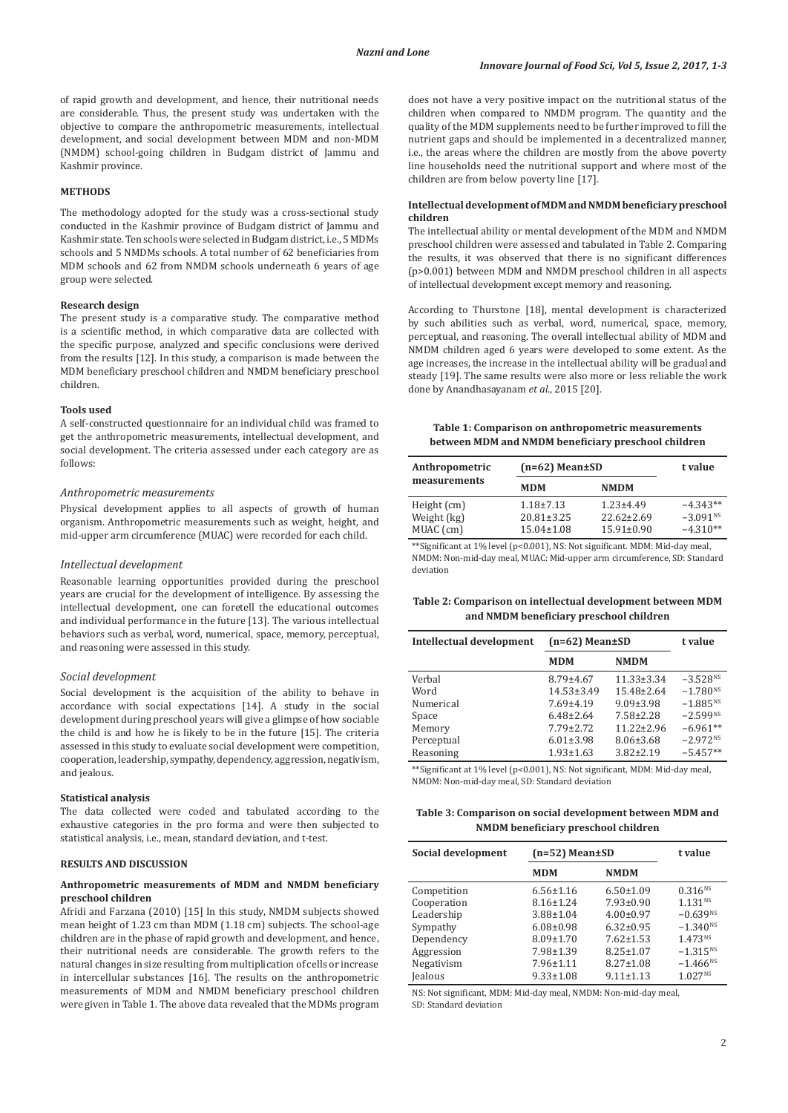of rapid growth and development, and hence, their nutritional needs are considerable. Thus, the present study was undertaken with the objective to compare the anthropometric measurements, intellectual development, and social development between MDM and non-MDM (NMDM) school-going children in Budgam district of Jammu and Kashmir province.

#### **METHODS**

The methodology adopted for the study was a cross-sectional study conducted in the Kashmir province of Budgam district of Jammu and Kashmir state. Ten schools were selected in Budgam district, i.e., 5 MDMs schools and 5 NMDMs schools. A total number of 62 beneficiaries from MDM schools and 62 from NMDM schools underneath 6 years of age group were selected.

#### **Research design**

The present study is a comparative study. The comparative method is a scientific method, in which comparative data are collected with the specific purpose, analyzed and specific conclusions were derived from the results [12]. In this study, a comparison is made between the MDM beneficiary preschool children and NMDM beneficiary preschool children.

#### **Tools used**

A self-constructed questionnaire for an individual child was framed to get the anthropometric measurements, intellectual development, and social development. The criteria assessed under each category are as follows:

#### *Anthropometric measurements*

Physical development applies to all aspects of growth of human organism. Anthropometric measurements such as weight, height, and mid-upper arm circumference (MUAC) were recorded for each child.

#### *Intellectual development*

Reasonable learning opportunities provided during the preschool years are crucial for the development of intelligence. By assessing the intellectual development, one can foretell the educational outcomes and individual performance in the future [13]. The various intellectual behaviors such as verbal, word, numerical, space, memory, perceptual, and reasoning were assessed in this study.

## *Social development*

Social development is the acquisition of the ability to behave in accordance with social expectations [14]. A study in the social development during preschool years will give a glimpse of how sociable the child is and how he is likely to be in the future [15]. The criteria assessed in this study to evaluate social development were competition, cooperation, leadership, sympathy, dependency, aggression, negativism, and jealous.

#### **Statistical analysis**

The data collected were coded and tabulated according to the exhaustive categories in the pro forma and were then subjected to statistical analysis, i.e., mean, standard deviation, and t-test.

#### **RESULTS AND DISCUSSION**

#### **Anthropometric measurements of MDM and NMDM beneficiary preschool children**

Afridi and Farzana (2010) [15] In this study, NMDM subjects showed mean height of 1.23 cm than MDM (1.18 cm) subjects. The school-age children are in the phase of rapid growth and development, and hence, their nutritional needs are considerable. The growth refers to the natural changes in size resulting from multiplication of cells or increase in intercellular substances [16]. The results on the anthropometric measurements of MDM and NMDM beneficiary preschool children were given in Table 1. The above data revealed that the MDMs program does not have a very positive impact on the nutritional status of the children when compared to NMDM program. The quantity and the quality of the MDM supplements need to be further improved to fill the nutrient gaps and should be implemented in a decentralized manner, i.e., the areas where the children are mostly from the above poverty line households need the nutritional support and where most of the children are from below poverty line [17].

### **Intellectual development of MDM and NMDM beneficiary preschool children**

The intellectual ability or mental development of the MDM and NMDM preschool children were assessed and tabulated in Table 2. Comparing the results, it was observed that there is no significant differences (p>0.001) between MDM and NMDM preschool children in all aspects of intellectual development except memory and reasoning.

According to Thurstone [18], mental development is characterized by such abilities such as verbal, word, numerical, space, memory, perceptual, and reasoning. The overall intellectual ability of MDM and NMDM children aged 6 years were developed to some extent. As the age increases, the increase in the intellectual ability will be gradual and steady [19]. The same results were also more or less reliable the work done by Anandhasayanam *et al*., 2015 [20].

## **Table 1: Comparison on anthropometric measurements between MDM and NMDM beneficiary preschool children**

| Anthropometric<br>measurements          | $(n=62)$ Mean $\pm$ SD                                  |                                                         | t value                                            |
|-----------------------------------------|---------------------------------------------------------|---------------------------------------------------------|----------------------------------------------------|
|                                         | <b>MDM</b>                                              | <b>NMDM</b>                                             |                                                    |
| Height (cm)<br>Weight (kg)<br>MUAC (cm) | $1.18 \pm 7.13$<br>$20.81 \pm 3.25$<br>$15.04 \pm 1.08$ | $1.23 \pm 4.49$<br>$22.62 \pm 2.69$<br>$15.91 \pm 0.90$ | $-4.343**$<br>$-3.091$ <sup>NS</sup><br>$-4.310**$ |

\*\*Significant at 1% level (p<0.001), NS: Not significant. MDM: Mid‑day meal, NMDM: Non-mid-day meal, MUAC: Mid-upper arm circumference, SD: Standard deviation

## **Table 2: Comparison on intellectual development between MDM and NMDM beneficiary preschool children**

| Intellectual development | $(n=62)$ Mean $\pm$ SD |                  | t value       |
|--------------------------|------------------------|------------------|---------------|
|                          | <b>MDM</b>             | <b>NMDM</b>      |               |
| Verbal                   | $8.79 \pm 4.67$        | $11.33 \pm 3.34$ | $-3.528^{NS}$ |
| Word                     | $14.53 \pm 3.49$       | $15.48 \pm 2.64$ | $-1.780^{NS}$ |
| Numerical                | $7.69 \pm 4.19$        | $9.09 \pm 3.98$  | $-1.885^{NS}$ |
| Space                    | $6.48\pm2.64$          | 7.58±2.28        | $-2.599^{NS}$ |
| Memory                   | $7.79 \pm 2.72$        | $11.22 \pm 2.96$ | $-6.961**$    |
| Perceptual               | $6.01 \pm 3.98$        | $8.06 \pm 3.68$  | $-2.972Ns$    |
| Reasoning                | $1.93 \pm 1.63$        | $3.82 \pm 2.19$  | $-5.457**$    |

\*\*Significant at 1% level (p<0.001), NS: Not significant, MDM: Mid‑day meal, NMDM: Non-mid-day meal, SD: Standard deviation

## **Table 3: Comparison on social development between MDM and NMDM beneficiary preschool children**

| Social development | $(n=52)$ Mean $\pm SD$ |                 | t value             |
|--------------------|------------------------|-----------------|---------------------|
|                    | <b>MDM</b>             | <b>NMDM</b>     |                     |
| Competition        | $6.56 \pm 1.16$        | $6.50 \pm 1.09$ | $0.316^{NS}$        |
| Cooperation        | $8.16 \pm 1.24$        | $7.93 \pm 0.90$ | 1.131 <sup>NS</sup> |
| Leadership         | $3.88 \pm 1.04$        | $4.00 \pm 0.97$ | $-0.639^{NS}$       |
| Sympathy           | $6.08 \pm 0.98$        | $6.32 \pm 0.95$ | $-1.340^{NS}$       |
| Dependency         | $8.09 \pm 1.70$        | $7.62 \pm 1.53$ | 1.473 <sup>NS</sup> |
| Aggression         | 7.98±1.39              | $8.25 \pm 1.07$ | $-1.315^{NS}$       |
| Negativism         | $7.96 \pm 1.11$        | $8.27 \pm 1.08$ | $-1.466^{NS}$       |
| <b>Jealous</b>     | $9.33 \pm 1.08$        | $9.11 \pm 1.13$ | $1.027^{NS}$        |

NS: Not significant, MDM: Mid-day meal, NMDM: Non-mid-day meal, SD: Standard deviation